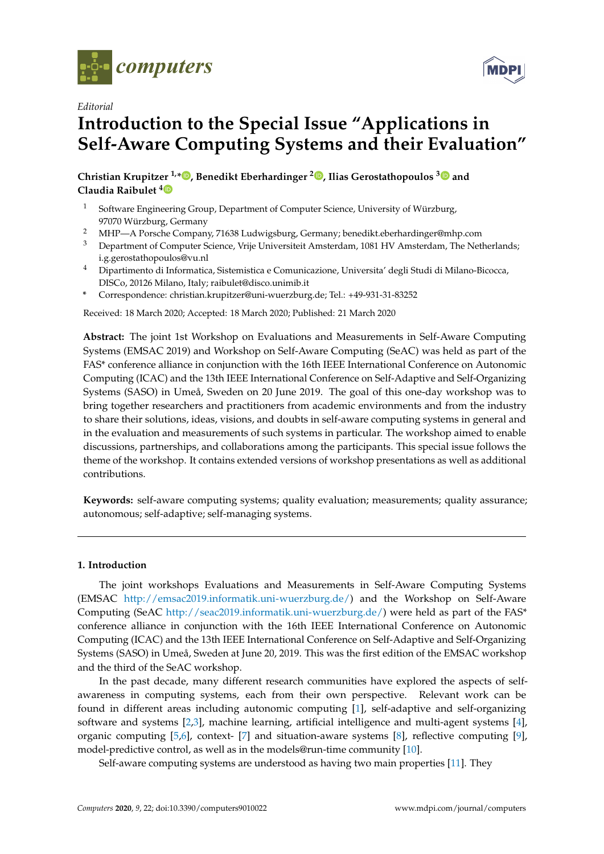



# *Editorial* **Introduction to the Special Issue "Applications in Self-Aware Computing Systems and their Evaluation"**

**Christian Krupitzer 1,[\\*](https://orcid.org/0000-0002-7275-0738) , Benedikt Eberhardinger <sup>2</sup> [,](https://orcid.org/0000-0002-5562-9514) Ilias Gerostathopoulos [3](https://orcid.org/0000-0001-9333-7101) and Claudia Raibulet [4](https://orcid.org/0000-0002-7194-3159)**

- <sup>1</sup> Software Engineering Group, Department of Computer Science, University of Würzburg, 97070 Würzburg, Germany
- <sup>2</sup> MHP—A Porsche Company, 71638 Ludwigsburg, Germany; benedikt.eberhardinger@mhp.com
- <sup>3</sup> Department of Computer Science, Vrije Universiteit Amsterdam, 1081 HV Amsterdam, The Netherlands; i.g.gerostathopoulos@vu.nl
- <sup>4</sup> Dipartimento di Informatica, Sistemistica e Comunicazione, Universita' degli Studi di Milano-Bicocca, DISCo, 20126 Milano, Italy; raibulet@disco.unimib.it
- **\*** Correspondence: christian.krupitzer@uni-wuerzburg.de; Tel.: +49-931-31-83252

Received: 18 March 2020; Accepted: 18 March 2020; Published: 21 March 2020

**Abstract:** The joint 1st Workshop on Evaluations and Measurements in Self-Aware Computing Systems (EMSAC 2019) and Workshop on Self-Aware Computing (SeAC) was held as part of the FAS\* conference alliance in conjunction with the 16th IEEE International Conference on Autonomic Computing (ICAC) and the 13th IEEE International Conference on Self-Adaptive and Self-Organizing Systems (SASO) in Umeå, Sweden on 20 June 2019. The goal of this one-day workshop was to bring together researchers and practitioners from academic environments and from the industry to share their solutions, ideas, visions, and doubts in self-aware computing systems in general and in the evaluation and measurements of such systems in particular. The workshop aimed to enable discussions, partnerships, and collaborations among the participants. This special issue follows the theme of the workshop. It contains extended versions of workshop presentations as well as additional contributions.

**Keywords:** self-aware computing systems; quality evaluation; measurements; quality assurance; autonomous; self-adaptive; self-managing systems.

## **1. Introduction**

The joint workshops Evaluations and Measurements in Self-Aware Computing Systems (EMSAC [http://emsac2019.informatik.uni-wuerzburg.de/\)](http://emsac2019.informatik.uni-wuerzburg.de/) and the Workshop on Self-Aware Computing (SeAC [http://seac2019.informatik.uni-wuerzburg.de/\)](http://seac2019.informatik.uni-wuerzburg.de/) were held as part of the FAS\* conference alliance in conjunction with the 16th IEEE International Conference on Autonomic Computing (ICAC) and the 13th IEEE International Conference on Self-Adaptive and Self-Organizing Systems (SASO) in Umeå, Sweden at June 20, 2019. This was the first edition of the EMSAC workshop and the third of the SeAC workshop.

In the past decade, many different research communities have explored the aspects of selfawareness in computing systems, each from their own perspective. Relevant work can be found in different areas including autonomic computing [\[1\]](#page-4-0), self-adaptive and self-organizing software and systems [\[2](#page-4-1)[,3\]](#page-4-2), machine learning, artificial intelligence and multi-agent systems [\[4\]](#page-4-3), organic computing [\[5](#page-4-4)[,6\]](#page-4-5), context- [\[7\]](#page-4-6) and situation-aware systems [\[8\]](#page-4-7), reflective computing [\[9\]](#page-4-8), model-predictive control, as well as in the models@run-time community [\[10\]](#page-4-9).

Self-aware computing systems are understood as having two main properties [\[11\]](#page-5-0). They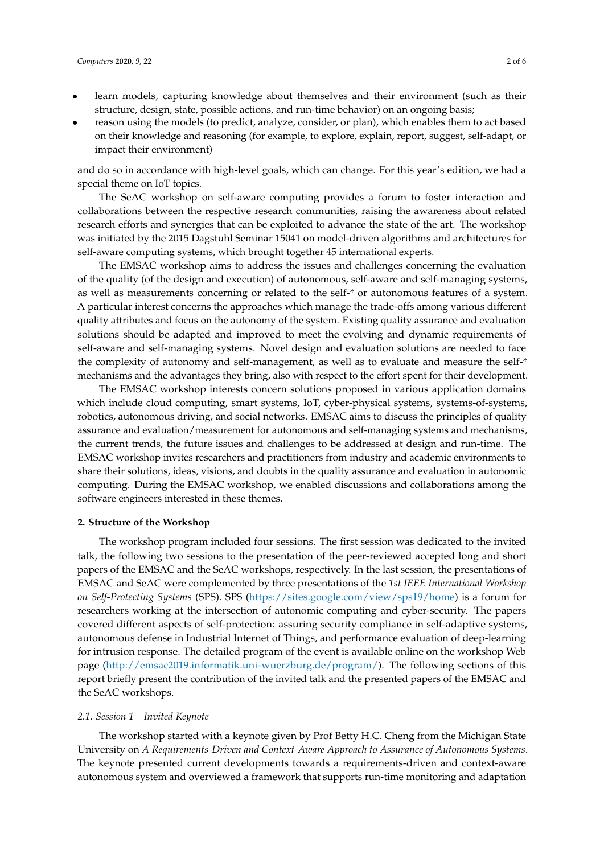- learn models, capturing knowledge about themselves and their environment (such as their structure, design, state, possible actions, and run-time behavior) on an ongoing basis;
- reason using the models (to predict, analyze, consider, or plan), which enables them to act based on their knowledge and reasoning (for example, to explore, explain, report, suggest, self-adapt, or impact their environment)

and do so in accordance with high-level goals, which can change. For this year's edition, we had a special theme on IoT topics.

The SeAC workshop on self-aware computing provides a forum to foster interaction and collaborations between the respective research communities, raising the awareness about related research efforts and synergies that can be exploited to advance the state of the art. The workshop was initiated by the 2015 Dagstuhl Seminar 15041 on model-driven algorithms and architectures for self-aware computing systems, which brought together 45 international experts.

The EMSAC workshop aims to address the issues and challenges concerning the evaluation of the quality (of the design and execution) of autonomous, self-aware and self-managing systems, as well as measurements concerning or related to the self-\* or autonomous features of a system. A particular interest concerns the approaches which manage the trade-offs among various different quality attributes and focus on the autonomy of the system. Existing quality assurance and evaluation solutions should be adapted and improved to meet the evolving and dynamic requirements of self-aware and self-managing systems. Novel design and evaluation solutions are needed to face the complexity of autonomy and self-management, as well as to evaluate and measure the self-\* mechanisms and the advantages they bring, also with respect to the effort spent for their development.

The EMSAC workshop interests concern solutions proposed in various application domains which include cloud computing, smart systems, IoT, cyber-physical systems, systems-of-systems, robotics, autonomous driving, and social networks. EMSAC aims to discuss the principles of quality assurance and evaluation/measurement for autonomous and self-managing systems and mechanisms, the current trends, the future issues and challenges to be addressed at design and run-time. The EMSAC workshop invites researchers and practitioners from industry and academic environments to share their solutions, ideas, visions, and doubts in the quality assurance and evaluation in autonomic computing. During the EMSAC workshop, we enabled discussions and collaborations among the software engineers interested in these themes.

#### **2. Structure of the Workshop**

The workshop program included four sessions. The first session was dedicated to the invited talk, the following two sessions to the presentation of the peer-reviewed accepted long and short papers of the EMSAC and the SeAC workshops, respectively. In the last session, the presentations of EMSAC and SeAC were complemented by three presentations of the *1st IEEE International Workshop on Self-Protecting Systems* (SPS). SPS [\(https://sites.google.com/view/sps19/home\)](https://sites.google.com/view/sps19/home) is a forum for researchers working at the intersection of autonomic computing and cyber-security. The papers covered different aspects of self-protection: assuring security compliance in self-adaptive systems, autonomous defense in Industrial Internet of Things, and performance evaluation of deep-learning for intrusion response. The detailed program of the event is available online on the workshop Web page [\(http://emsac2019.informatik.uni-wuerzburg.de/program/\)](http://emsac2019.informatik.uni-wuerzburg.de/program/). The following sections of this report briefly present the contribution of the invited talk and the presented papers of the EMSAC and the SeAC workshops.

#### *2.1. Session 1—Invited Keynote*

The workshop started with a keynote given by Prof Betty H.C. Cheng from the Michigan State University on *A Requirements-Driven and Context-Aware Approach to Assurance of Autonomous Systems*. The keynote presented current developments towards a requirements-driven and context-aware autonomous system and overviewed a framework that supports run-time monitoring and adaptation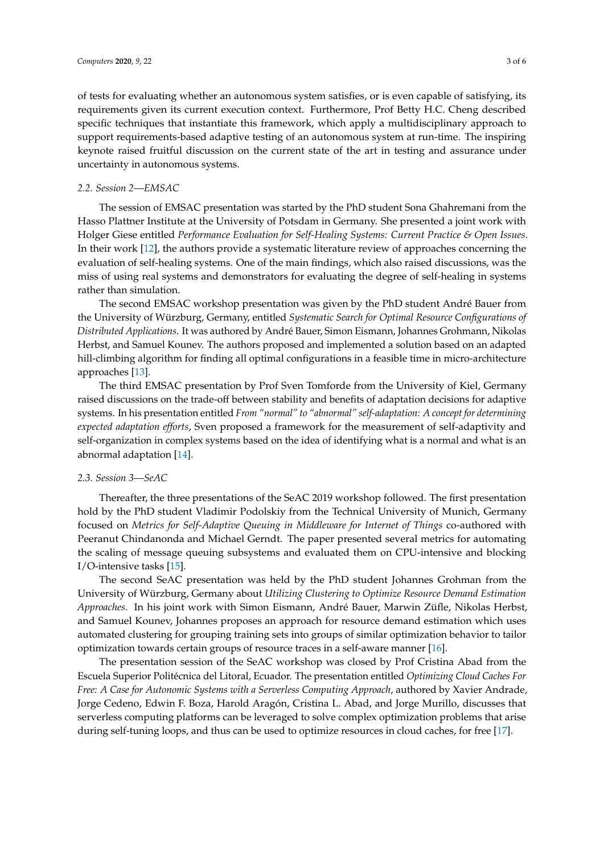of tests for evaluating whether an autonomous system satisfies, or is even capable of satisfying, its requirements given its current execution context. Furthermore, Prof Betty H.C. Cheng described specific techniques that instantiate this framework, which apply a multidisciplinary approach to support requirements-based adaptive testing of an autonomous system at run-time. The inspiring keynote raised fruitful discussion on the current state of the art in testing and assurance under uncertainty in autonomous systems.

### *2.2. Session 2—EMSAC*

The session of EMSAC presentation was started by the PhD student Sona Ghahremani from the Hasso Plattner Institute at the University of Potsdam in Germany. She presented a joint work with Holger Giese entitled *Performance Evaluation for Self-Healing Systems: Current Practice & Open Issues*. In their work [\[12\]](#page-5-1), the authors provide a systematic literature review of approaches concerning the evaluation of self-healing systems. One of the main findings, which also raised discussions, was the miss of using real systems and demonstrators for evaluating the degree of self-healing in systems rather than simulation.

The second EMSAC workshop presentation was given by the PhD student André Bauer from the University of Würzburg, Germany, entitled *Systematic Search for Optimal Resource Configurations of Distributed Applications*. It was authored by André Bauer, Simon Eismann, Johannes Grohmann, Nikolas Herbst, and Samuel Kounev. The authors proposed and implemented a solution based on an adapted hill-climbing algorithm for finding all optimal configurations in a feasible time in micro-architecture approaches [\[13\]](#page-5-2).

The third EMSAC presentation by Prof Sven Tomforde from the University of Kiel, Germany raised discussions on the trade-off between stability and benefits of adaptation decisions for adaptive systems. In his presentation entitled *From "normal" to "abnormal" self-adaptation: A concept for determining expected adaptation efforts*, Sven proposed a framework for the measurement of self-adaptivity and self-organization in complex systems based on the idea of identifying what is a normal and what is an abnormal adaptation [\[14\]](#page-5-3).

#### *2.3. Session 3—SeAC*

Thereafter, the three presentations of the SeAC 2019 workshop followed. The first presentation hold by the PhD student Vladimir Podolskiy from the Technical University of Munich, Germany focused on *Metrics for Self-Adaptive Queuing in Middleware for Internet of Things* co-authored with Peeranut Chindanonda and Michael Gerndt. The paper presented several metrics for automating the scaling of message queuing subsystems and evaluated them on CPU-intensive and blocking I/O-intensive tasks [\[15\]](#page-5-4).

The second SeAC presentation was held by the PhD student Johannes Grohman from the University of Würzburg, Germany about *Utilizing Clustering to Optimize Resource Demand Estimation Approaches*. In his joint work with Simon Eismann, André Bauer, Marwin Züfle, Nikolas Herbst, and Samuel Kounev, Johannes proposes an approach for resource demand estimation which uses automated clustering for grouping training sets into groups of similar optimization behavior to tailor optimization towards certain groups of resource traces in a self-aware manner [\[16\]](#page-5-5).

The presentation session of the SeAC workshop was closed by Prof Cristina Abad from the Escuela Superior Politécnica del Litoral, Ecuador. The presentation entitled *Optimizing Cloud Caches For Free: A Case for Autonomic Systems with a Serverless Computing Approach*, authored by Xavier Andrade, Jorge Cedeno, Edwin F. Boza, Harold Aragón, Cristina L. Abad, and Jorge Murillo, discusses that serverless computing platforms can be leveraged to solve complex optimization problems that arise during self-tuning loops, and thus can be used to optimize resources in cloud caches, for free [\[17\]](#page-5-6).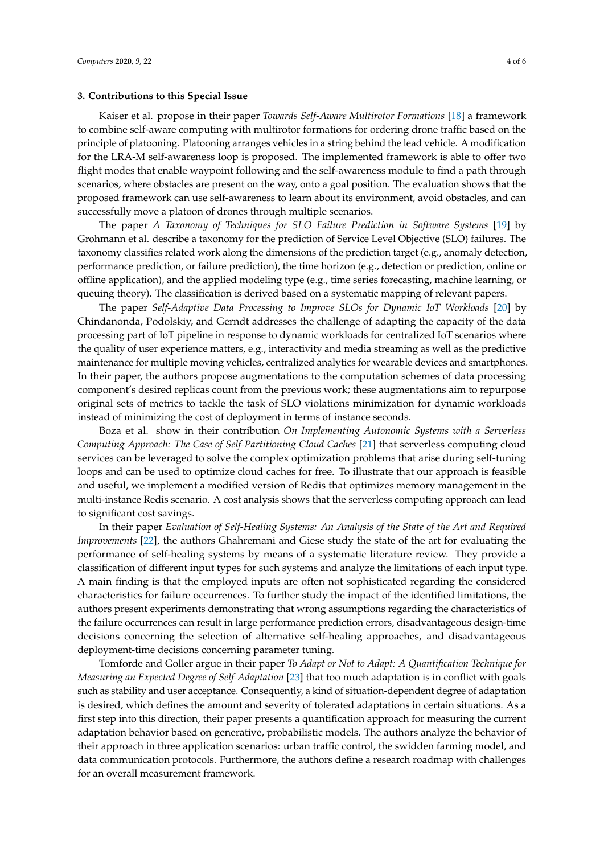#### **3. Contributions to this Special Issue**

Kaiser et al. propose in their paper *Towards Self-Aware Multirotor Formations* [\[18\]](#page-5-7) a framework to combine self-aware computing with multirotor formations for ordering drone traffic based on the principle of platooning. Platooning arranges vehicles in a string behind the lead vehicle. A modification for the LRA-M self-awareness loop is proposed. The implemented framework is able to offer two flight modes that enable waypoint following and the self-awareness module to find a path through scenarios, where obstacles are present on the way, onto a goal position. The evaluation shows that the proposed framework can use self-awareness to learn about its environment, avoid obstacles, and can successfully move a platoon of drones through multiple scenarios.

The paper *A Taxonomy of Techniques for SLO Failure Prediction in Software Systems* [\[19\]](#page-5-8) by Grohmann et al. describe a taxonomy for the prediction of Service Level Objective (SLO) failures. The taxonomy classifies related work along the dimensions of the prediction target (e.g., anomaly detection, performance prediction, or failure prediction), the time horizon (e.g., detection or prediction, online or offline application), and the applied modeling type (e.g., time series forecasting, machine learning, or queuing theory). The classification is derived based on a systematic mapping of relevant papers.

The paper *Self-Adaptive Data Processing to Improve SLOs for Dynamic IoT Workloads* [\[20\]](#page-5-9) by Chindanonda, Podolskiy, and Gerndt addresses the challenge of adapting the capacity of the data processing part of IoT pipeline in response to dynamic workloads for centralized IoT scenarios where the quality of user experience matters, e.g., interactivity and media streaming as well as the predictive maintenance for multiple moving vehicles, centralized analytics for wearable devices and smartphones. In their paper, the authors propose augmentations to the computation schemes of data processing component's desired replicas count from the previous work; these augmentations aim to repurpose original sets of metrics to tackle the task of SLO violations minimization for dynamic workloads instead of minimizing the cost of deployment in terms of instance seconds.

Boza et al. show in their contribution *On Implementing Autonomic Systems with a Serverless Computing Approach: The Case of Self-Partitioning Cloud Caches* [\[21\]](#page-5-10) that serverless computing cloud services can be leveraged to solve the complex optimization problems that arise during self-tuning loops and can be used to optimize cloud caches for free. To illustrate that our approach is feasible and useful, we implement a modified version of Redis that optimizes memory management in the multi-instance Redis scenario. A cost analysis shows that the serverless computing approach can lead to significant cost savings.

In their paper *Evaluation of Self-Healing Systems: An Analysis of the State of the Art and Required Improvements* [\[22\]](#page-5-11), the authors Ghahremani and Giese study the state of the art for evaluating the performance of self-healing systems by means of a systematic literature review. They provide a classification of different input types for such systems and analyze the limitations of each input type. A main finding is that the employed inputs are often not sophisticated regarding the considered characteristics for failure occurrences. To further study the impact of the identified limitations, the authors present experiments demonstrating that wrong assumptions regarding the characteristics of the failure occurrences can result in large performance prediction errors, disadvantageous design-time decisions concerning the selection of alternative self-healing approaches, and disadvantageous deployment-time decisions concerning parameter tuning.

Tomforde and Goller argue in their paper *To Adapt or Not to Adapt: A Quantification Technique for Measuring an Expected Degree of Self-Adaptation* [\[23\]](#page-5-12) that too much adaptation is in conflict with goals such as stability and user acceptance. Consequently, a kind of situation-dependent degree of adaptation is desired, which defines the amount and severity of tolerated adaptations in certain situations. As a first step into this direction, their paper presents a quantification approach for measuring the current adaptation behavior based on generative, probabilistic models. The authors analyze the behavior of their approach in three application scenarios: urban traffic control, the swidden farming model, and data communication protocols. Furthermore, the authors define a research roadmap with challenges for an overall measurement framework.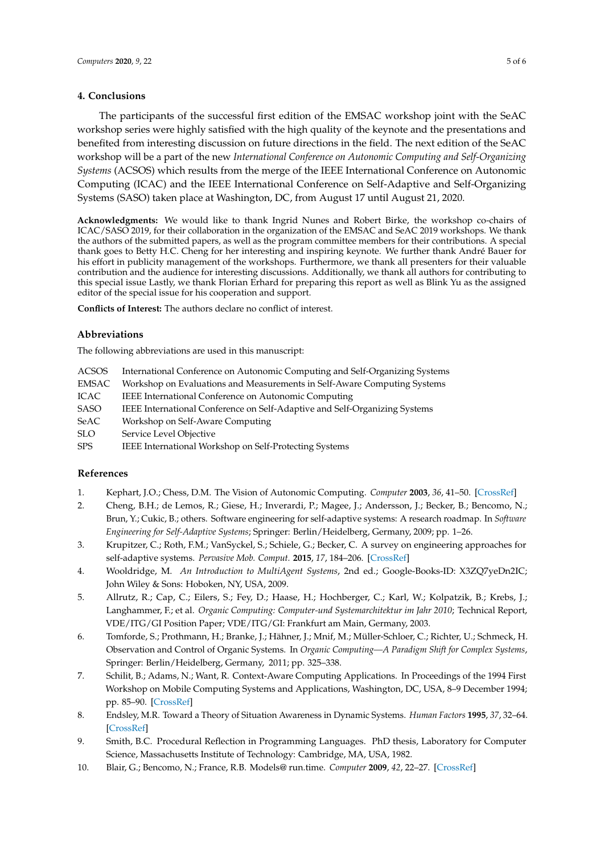## **4. Conclusions**

The participants of the successful first edition of the EMSAC workshop joint with the SeAC workshop series were highly satisfied with the high quality of the keynote and the presentations and benefited from interesting discussion on future directions in the field. The next edition of the SeAC workshop will be a part of the new *International Conference on Autonomic Computing and Self-Organizing Systems* (ACSOS) which results from the merge of the IEEE International Conference on Autonomic Computing (ICAC) and the IEEE International Conference on Self-Adaptive and Self-Organizing Systems (SASO) taken place at Washington, DC, from August 17 until August 21, 2020.

**Acknowledgments:** We would like to thank Ingrid Nunes and Robert Birke, the workshop co-chairs of ICAC/SASO 2019, for their collaboration in the organization of the EMSAC and SeAC 2019 workshops. We thank the authors of the submitted papers, as well as the program committee members for their contributions. A special thank goes to Betty H.C. Cheng for her interesting and inspiring keynote. We further thank André Bauer for his effort in publicity management of the workshops. Furthermore, we thank all presenters for their valuable contribution and the audience for interesting discussions. Additionally, we thank all authors for contributing to this special issue Lastly, we thank Florian Erhard for preparing this report as well as Blink Yu as the assigned editor of the special issue for his cooperation and support.

**Conflicts of Interest:** The authors declare no conflict of interest.

## **Abbreviations**

The following abbreviations are used in this manuscript:

- ACSOS International Conference on Autonomic Computing and Self-Organizing Systems
- EMSAC Workshop on Evaluations and Measurements in Self-Aware Computing Systems
- ICAC IEEE International Conference on Autonomic Computing
- SASO IEEE International Conference on Self-Adaptive and Self-Organizing Systems
- SeAC Workshop on Self-Aware Computing
- SLO Service Level Objective
- SPS IEEE International Workshop on Self-Protecting Systems

## **References**

- <span id="page-4-0"></span>1. Kephart, J.O.; Chess, D.M. The Vision of Autonomic Computing. *Computer* **2003**, *36*, 41–50. [\[CrossRef\]](http://dx.doi.org/10.1109/MC.2003.1160055)
- <span id="page-4-1"></span>2. Cheng, B.H.; de Lemos, R.; Giese, H.; Inverardi, P.; Magee, J.; Andersson, J.; Becker, B.; Bencomo, N.; Brun, Y.; Cukic, B.; others. Software engineering for self-adaptive systems: A research roadmap. In *Software Engineering for Self-Adaptive Systems*; Springer: Berlin/Heidelberg, Germany, 2009; pp. 1–26.
- <span id="page-4-2"></span>3. Krupitzer, C.; Roth, F.M.; VanSyckel, S.; Schiele, G.; Becker, C. A survey on engineering approaches for self-adaptive systems. *Pervasive Mob. Comput.* **2015**, *17*, 184–206. [\[CrossRef\]](http://dx.doi.org/10.1016/j.pmcj.2014.09.009)
- <span id="page-4-3"></span>4. Wooldridge, M. *An Introduction to MultiAgent Systems*, 2nd ed.; Google-Books-ID: X3ZQ7yeDn2IC; John Wiley & Sons: Hoboken, NY, USA, 2009.
- <span id="page-4-4"></span>5. Allrutz, R.; Cap, C.; Eilers, S.; Fey, D.; Haase, H.; Hochberger, C.; Karl, W.; Kolpatzik, B.; Krebs, J.; Langhammer, F.; et al. *Organic Computing: Computer-und Systemarchitektur im Jahr 2010*; Technical Report, VDE/ITG/GI Position Paper; VDE/ITG/GI: Frankfurt am Main, Germany, 2003.
- <span id="page-4-5"></span>6. Tomforde, S.; Prothmann, H.; Branke, J.; Hähner, J.; Mnif, M.; Müller-Schloer, C.; Richter, U.; Schmeck, H. Observation and Control of Organic Systems. In *Organic Computing—A Paradigm Shift for Complex Systems*, Springer: Berlin/Heidelberg, Germany, 2011; pp. 325–338.
- <span id="page-4-6"></span>7. Schilit, B.; Adams, N.; Want, R. Context-Aware Computing Applications. In Proceedings of the 1994 First Workshop on Mobile Computing Systems and Applications, Washington, DC, USA, 8–9 December 1994; pp. 85–90. [\[CrossRef\]](http://dx.doi.org/10.1109/WMCSA.1994.16)
- <span id="page-4-7"></span>8. Endsley, M.R. Toward a Theory of Situation Awareness in Dynamic Systems. *Human Factors* **1995**, *37*, 32–64. [\[CrossRef\]](http://dx.doi.org/10.1518/001872095779049543)
- <span id="page-4-8"></span>9. Smith, B.C. Procedural Reflection in Programming Languages. PhD thesis, Laboratory for Computer Science, Massachusetts Institute of Technology: Cambridge, MA, USA, 1982.
- <span id="page-4-9"></span>10. Blair, G.; Bencomo, N.; France, R.B. Models@ run.time. *Computer* **2009**, *42*, 22–27. [\[CrossRef\]](http://dx.doi.org/10.1109/MC.2009.326)